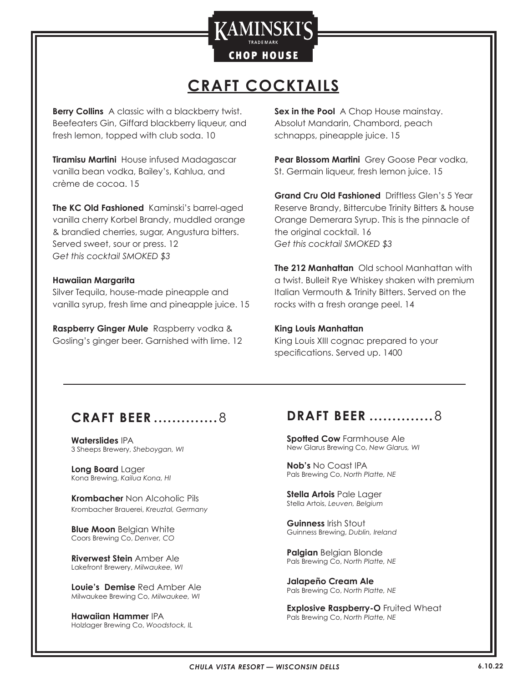

# **CRAFT COCKTAILS**

**Berry Collins** A classic with a blackberry twist. Beefeaters Gin, Giffard blackberry liqueur, and fresh lemon, topped with club soda. 10

**Tiramisu Martini** House infused Madagascar vanilla bean vodka, Bailey's, Kahlua, and crème de cocoa. 15

**The KC Old Fashioned** Kaminski's barrel-aged vanilla cherry Korbel Brandy, muddled orange & brandied cherries, sugar, Angustura bitters. Served sweet, sour or press. 12 *Get this cocktail SMOKED \$3*

#### **Hawaiian Margarita**

Silver Tequila, house-made pineapple and vanilla syrup, fresh lime and pineapple juice. 15

**Raspberry Ginger Mule** Raspberry vodka & Gosling's ginger beer. Garnished with lime. 12

**Sex in the Pool** A Chop House mainstay. Absolut Mandarin, Chambord, peach schnapps, pineapple juice. 15

**Pear Blossom Martini** Grey Goose Pear vodka, St. Germain liqueur, fresh lemon juice. 15

**Grand Cru Old Fashioned** Driftless Glen's 5 Year Reserve Brandy, Bittercube Trinity Bitters & house Orange Demerara Syrup. This is the pinnacle of the original cocktail. 16 *Get this cocktail SMOKED \$3*

**The 212 Manhattan** Old school Manhattan with a twist. Bulleit Rye Whiskey shaken with premium Italian Vermouth & Trinity Bitters. Served on the rocks with a fresh orange peel. 14

#### **King Louis Manhattan**

King Louis XIII cognac prepared to your specifications. Served up. 1400

### **CRAFT BEER ��������������** 8

**Waterslides** IPA 3 Sheeps Brewery, *Sheboygan, WI*

**Long Board** Lager Kona Brewing, *Kailua Kona, HI*

**Krombacher** Non Alcoholic Pils Krombacher Brauerei, *Kreuztal, Germany*

**Blue Moon** Belgian White Coors Brewing Co, *Denver, CO*

**Riverwest Stein** Amber Ale Lakefront Brewery, *Milwaukee, WI*

**Louie's Demise** Red Amber Ale Milwaukee Brewing Co, *Milwaukee, WI*

**Hawaiian Hammer** IPA Holzlager Brewing Co, *Woodstock, IL*

#### **DRAFT BEER** .................8

**Spotted Cow** Farmhouse Ale New Glarus Brewing Co, *New Glarus, WI*

**Nob's** No Coast IPA Pals Brewing Co, *North Platte, NE*

**Stella Artois** Pale Lager Stella Artois, *Leuven, Belgium*

**Guinness** Irish Stout Guinness Brewing, *Dublin, Ireland*

**Palgian** Belgian Blonde Pals Brewing Co, *North Platte, NE*

**Jalapeño Cream Ale** Pals Brewing Co, *North Platte, NE*

**Explosive Raspberry-O** Fruited Wheat Pals Brewing Co, *North Platte, NE*